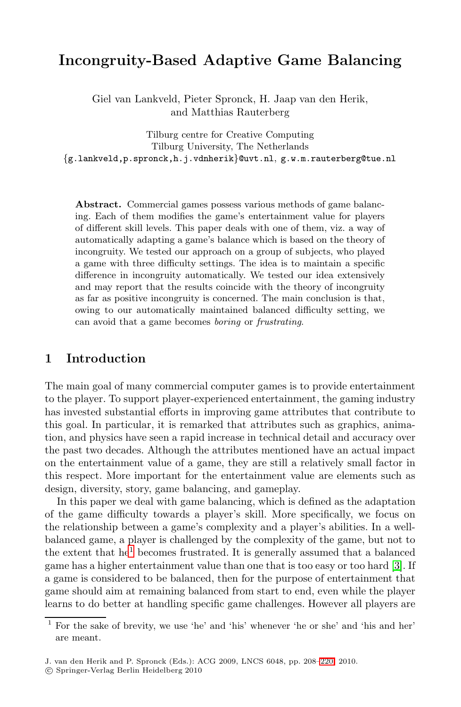## **Incongruity-Based Adaptive Game Balancing**

Giel van Lankveld, Pieter Spronck, H. Jaap van den Herik, and Matthias Rauterberg

Tilburg centre for Creative Computing Tilburg University, The Netherlands *{*g.lankveld,p.spronck,h.j.vdnherik*}*@uvt.nl, g.w.m.rauterberg@tue.nl

**Abstract.** Commercial games possess various methods of game balancing. Each of them modifies the game's entertainment value for players of different skill levels. This paper deals with one of them, viz. a way of automatically adapting a game's balance which is based on the theory of incongruity. We tested our approach on a group of subjects, who played a game with three difficulty settings. The idea is to maintain a specific difference in incongruity automatically. We tested our idea extensively and may report that the results coincide with the theory of incongruity as far as positive incongruity is concerned. The main conclusion is that, owing to our automatically maintained balanced difficulty setting, we can avoid that a game becomes *boring* or *frustrating*.

## **1 Introduction**

The main goal of many commercial computer games is to provide entertainment to the player. To support player-experienced entertainment, the gaming industry has invested substantial efforts in improving game attributes that contribute to this goal. In particular, it is remarked that attributes such as graphics, animation, and physics have seen a rapid increase in technical detail and accuracy over [t](#page-0-0)he past two decades. Although the attributes mentioned have an actual impact on the entertainment value of a game, they are still a r[el](#page-11-0)atively small factor in this respect. More important for the entertainment value are elements such as design, diversity, story, game balancing, and gameplay.

<span id="page-0-0"></span>In this paper we deal with game balancing, which is defined as the adaptation of the game difficulty towards a player's skill. More specifically, we focus on the relationship between a game's complexity and a player's abilities. In a wellbalanced game, a player is challenged by the complexity of the game, but not to the extent that  $he<sup>1</sup>$  becomes frustrated. It is generally assumed that a balanced game has a higher entertainment value t[han](#page-12-0) one that is too easy or too hard [3]. If a game is considered to be balanced, then for the purpose of entertainment that game should aim at remaining balanced from start to end, even while the player learns to do better at handling specific game challenges. However all players are

<sup>1</sup> For the sake of brevity, we use 'he' and 'his' whenever 'he or she' and 'his and her' are meant.

J. van den Herik and P. Spronck (Eds.): ACG 2009, LNCS 6048, pp. 208–220, 2010.

<sup>-</sup>c Springer-Verlag Berlin Heidelberg 2010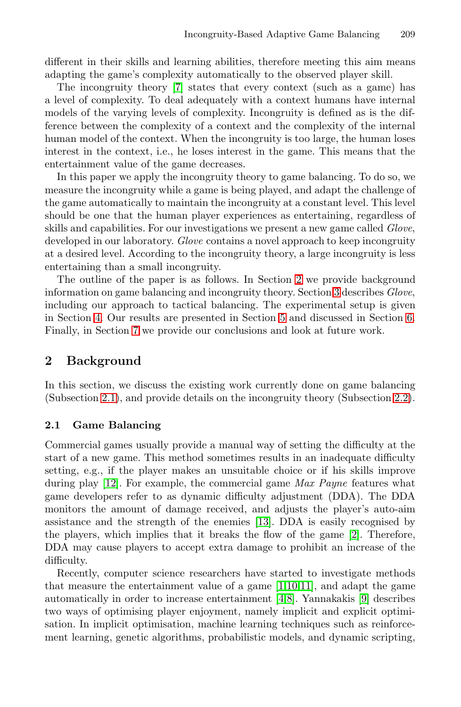different in their skills and learning abilities, therefore meeting this aim means adapting the game's complexity automatically to the observed player skill.

The incongruity theory [7] states that every context (such as a game) has a level of complexity. To deal adequately with a context humans have internal models of the varying levels of complexity. Incongruity is defined as is the difference between the complexity of a context and the complexity of the internal human model of the context. When the incongruity is too large, the human loses interest in the context, i.e., he loses interest in the game. This means that the entertainment value of the game decreases.

In this paper we apply the incon[gr](#page-1-0)uity theory to game balancing. To do so, we measure the incongruity while a game is be[ing](#page-3-0) played, and adapt the challenge of the game automatically to maintain the incongruity at a constant level. This level should be one that the human [pl](#page-8-0)ayer experiences as enter[ta](#page-9-0)ining, regardless of [sk](#page-10-0)ills and capabilities. For our investigations we present a new game called *Glove*, developed in our laboratory. *Glove* contains a novel approach to keep incongruity at a desired level. According to the incongruity theory, a large incongruity is less entertaining than a small incongruity.

<span id="page-1-0"></span>The outline of the paper is as follows. In Section 2 we provide background information on game balancing and incongruity theory. Section 3 describes *Glove*, including our approach to tactical balancing. The exp[erim](#page-2-0)ental setup is given in Section 4. Our results are presented in Section 5 and discussed in Section 6. Finally, in Section 7 we provide our conclusions and look at future work.

## **2 Background**

In this section, we discuss the existing work currently done on game balancing (Subsection 2.1), and provide details on the incongruity theory (Subsection 2.2).

#### **2.1 Game Balancing**

Commercial games usually provide a manual [way](#page-11-1) of setting the difficulty at the start of a new game. This method sometimes results in an inadequate difficulty setting, e.g., if the player makes an unsuitable choice or if his skills improve during play [12]. For example, [t](#page-11-2)[he](#page-11-3) [com](#page-11-4)mercial game *Max Payne* features what game developers refer to as d[yn](#page-11-5)[am](#page-11-6)ic difficulty [ad](#page-11-7)justment (DDA). The DDA monitors the amount of damage received, and adjusts the player's auto-aim assistance and the strength of the enemies [13]. DDA is easily recognised by the players, which implies that it breaks the flow of the game [2]. Therefore, DDA may cause players to accept extra damage to prohibit an increase of the difficulty.

Recently, computer science researchers have started to investigate methods that measure the entertainment value of a game [1,10,11], and adapt the game automatically in order to increase entertainment [4,8]. Yannakakis [9] describes two ways of optimising player enjoyment, namely implicit and explicit optimisation. In implicit optimisation, machine learning techniques such as reinforcement learning, genetic algorithms, probabilistic models, and dynamic scripting,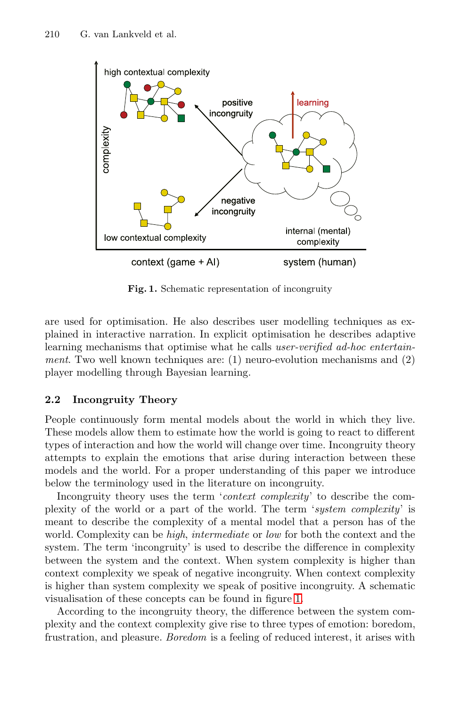210 G. van Lankveld et al.



<span id="page-2-1"></span>**Fig. 1.** Schematic representation of incongruity

<span id="page-2-0"></span>are used for optimisation. He also describes user modelling techniques as explained in interactive narration. In explicit optimisation he describes adaptive learning mechanisms that optimise what he calls *user-verified ad-hoc entertainment*. Two well known techniques are: (1) neuro-evolution mechanisms and (2) player modelling through Bayesian learning.

#### **2.2 Incongruity Theory**

People continuously form mental models about the world in which they live. These models allow them to estimate how the world is going to react to different types of interaction and how the world will change over time. Incongruity theory attempts to explain the emotions that arise during interaction between these models and the world. For a proper understanding of this paper we introduce below the terminology used in the literature on incongruity.

Incongruity theory uses the ter[m](#page-2-1) '*context complexity*' to describe the complexity of the world or a part of the world. The term '*system complexity*' is meant to describe the complexity of a mental model that a person has of the world. Complexity can be *high*, *intermediate* or *low* for both the context and the system. The term 'incongruity' is used to describe the difference in complexity between the system and the context. When system complexity is higher than context complexity we speak of negative incongruity. When context complexity is higher than system complexity we speak of positive incongruity. A schematic visualisation of these concepts can be found in figure 1.

According to the incongruity theory, the difference between the system complexity and the context complexity give rise to three types of emotion: boredom, frustration, and pleasure. *Boredom* is a feeling of reduced interest, it arises with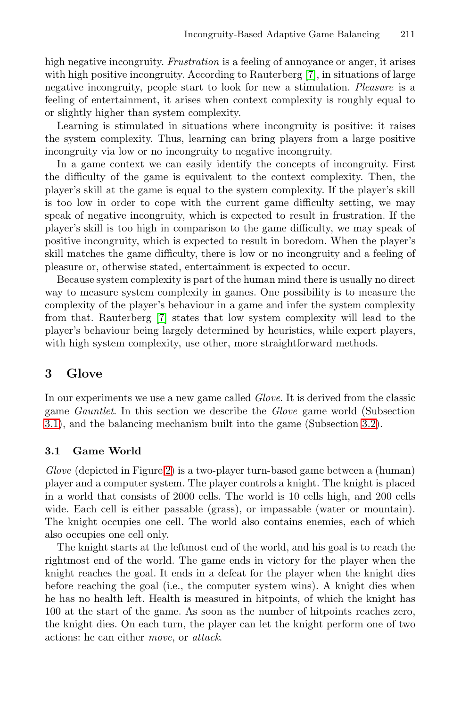high negative incongruity. *Frustration* is a feeling of annoyance or anger, it arises with high positive incongruity. According to Rauterberg [7], in situations of large negative incongruity, people start to look for new a stimulation. *Pleasure* is a feeling of entertainment, it arises when context complexity is roughly equal to or slightly higher than system complexity.

Learning is stimulated in situations where incongruity is positive: it raises the system complexity. Thus, learning can bring players from a large positive incongruity via low or no incongruity to negative incongruity.

In a game context we can easily identify the concepts of incongruity. First the difficulty of the game is equivalent to the context complexity. Then, the player's skill at the game is equal to the system complexity. If the player's skill is too low in order to cope with the current game difficulty setting, we may spea[k o](#page-11-8)f negative incongruity, which is expected to result in frustration. If the player's skill is too high in comparison to the game difficulty, we may speak of positive incongruity, which is expected to result in boredom. When the player's skill matches the game difficulty, there is low or no incongruity and a feeling of pleasure or, otherwise stated, entertainment is expected to occur.

<span id="page-3-0"></span>Because system complexity is part of the human mind there is usually no direct way to measure system complexity in games. One possibility is to measure the complexity of the player's behaviour in a game and infer the system complexity from that. Rauterberg [7] states that low system complexity will lead to the player's behaviour being largely determined by [heur](#page-5-0)istics, while expert players, with high system complexity, use other, more straightforward methods.

#### **3 [Glo](#page-4-0)ve**

In our experiments we use a new game called *Glove*. It is derived from the classic game *Gauntlet*. In this section we describe the *Glove* game world (Subsection 3.1), and the balancing mechanism built into the game (Subsection 3.2).

#### **3.1 Game World**

*Glove* (depicted in Figure 2) is a two-player turn-based game between a (human) player and a computer system. The player controls a knight. The knight is placed in a world that consists of 2000 cells. The world is 10 cells high, and 200 cells wide. Each cell is either passable (grass), or impassable (water or mountain). The knight occupies one cell. The world also contains enemies, each of which also occupies one cell only.

The knight starts at the leftmost end of the world, and his goal is to reach the rightmost end of the world. The game ends in victory for the player when the knight reaches the goal. It ends in a defeat for the player when the knight dies before reaching the goal (i.e., the computer system wins). A knight dies when he has no health left. Health is measured in hitpoints, of which the knight has 100 at the start of the game. As soon as the number of hitpoints reaches zero, the knight dies. On each turn, the player can let the knight perform one of two actions: he can either *move*, or *attack*.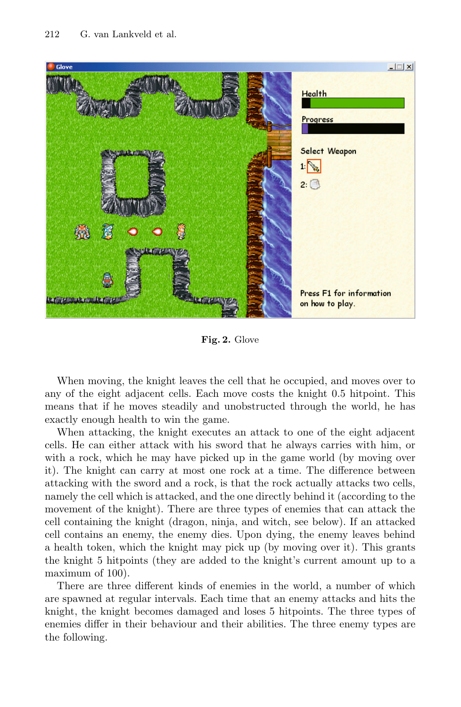

**Fig. 2.** Glove

<span id="page-4-0"></span>When moving, the knight leaves the cell that he occupied, and moves over to any of the eight adjacent cells. Each move costs the knight 0.5 hitpoint. This means that if he moves steadily and unobstructed through the world, he has exactly enough health to win the game.

When attacking, the knight executes an attack to one of the eight adjacent cells. He can either attack with his sword that he always carries with him, or with a rock, which he may have picked up in the game world (by moving over it). The knight can carry at most one rock at a time. The difference between attacking with the sword and a rock, is that the rock actually attacks two cells, namely the cell which is attacked, and the one directly behind it (according to the movement of the knight). There are three types of enemies that can attack the cell containing the knight (dragon, ninja, and witch, see below). If an attacked cell contains an enemy, the enemy dies. Upon dying, the enemy leaves behind a health token, which the knight may pick up (by moving over it). This grants the knight 5 hitpoints (they are added to the knight's current amount up to a maximum of 100).

There are three different kinds of enemies in the world, a number of which are spawned at regular intervals. Each time that an enemy attacks and hits the knight, the knight becomes damaged and loses 5 hitpoints. The three types of enemies differ in their behaviour and their abilities. The three enemy types are the following.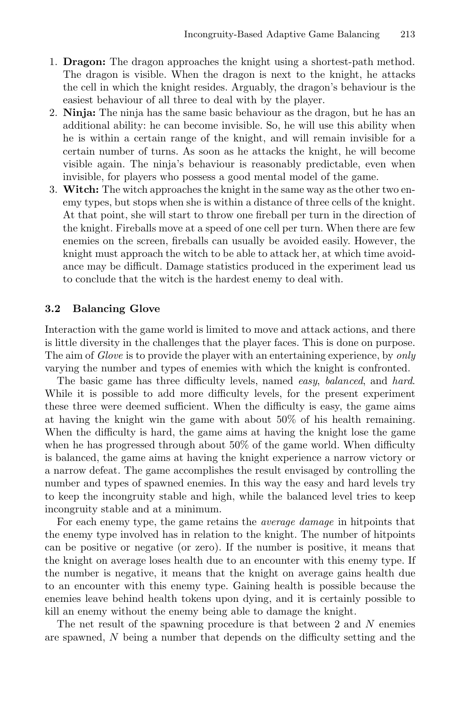- 1. **Dragon:** The dragon approaches the knight using a shortest-path method. The dragon is visible. When the dragon is next to the knight, he attacks the cell in which the knight resides. Arguably, the dragon's behaviour is the easiest behaviour of all three to deal with by the player.
- 2. **Ninja:** The ninja has the same basic behaviour as the dragon, but he has an additional ability: he can become invisible. So, he will use this ability when he is within a certain range of the knight, and will remain invisible for a certain number of turns. As soon as he attacks the knight, he will become visible again. The ninja's behaviour is reasonably predictable, even when invisible, for players who possess a good mental model of the game.
- 3. **Witch:** The witch approaches the knight in the same way as the other two enemy types, but stops when she is within a distance of three cells of the knight. At that point, she will start to throw one fireball per turn in the direction of the knight. Fireballs move at a speed of one cell per turn. When there are few enemies on the screen, fireballs can usually be avoided easily. However, the knight must approach the witch to be able to attack her, at which time avoidance may be difficult. Damage statistics produced in the experiment lead us to conclude that the witch is the hardest enemy to deal with.

#### <span id="page-5-0"></span>**3.2 Balancing Glove**

Interaction with the game world is limited to move and attack actions, and there is little diversity in the challenges that the player faces. This is done on purpose. The aim of *Glove* is to provide the player with an entertaining experience, by *only* varying the number and types of enemies with which the knight is confronted.

The basic game has three difficulty levels, named *easy*, *balanced*, and *hard*. While it is possible to add more difficulty levels, for the present experiment these three were deemed sufficient. When the difficulty is easy, the game aims at having the knight win the game with about 50% of his health remaining. When the difficulty is hard, the game aims at having the knight lose the game when he has progressed through about 50% of the game world. When difficulty is balanced, the game aims at having the knight experience a narrow victory or a narrow defeat. The game accomplishes the result envisaged by controlling the number and types of spawned enemies. In this way the easy and hard levels try to keep the incongruity stable and high, while the balanced level tries to keep incongruity stable and at a minimum.

For each enemy type, the game retains the *average damage* in hitpoints that the enemy type involved has in relation to the knight. The number of hitpoints can be positive or negative (or zero). If the number is positive, it means that the knight on average loses health due to an encounter with this enemy type. If the number is negative, it means that the knight on average gains health due to an encounter with this enemy type. Gaining health is possible because the enemies leave behind health tokens upon dying, and it is certainly possible to kill an enemy without the enemy being able to damage the knight.

The net result of the spawning procedure is that between 2 and *N* enemies are spawned, *N* being a number that depends on the difficulty setting and the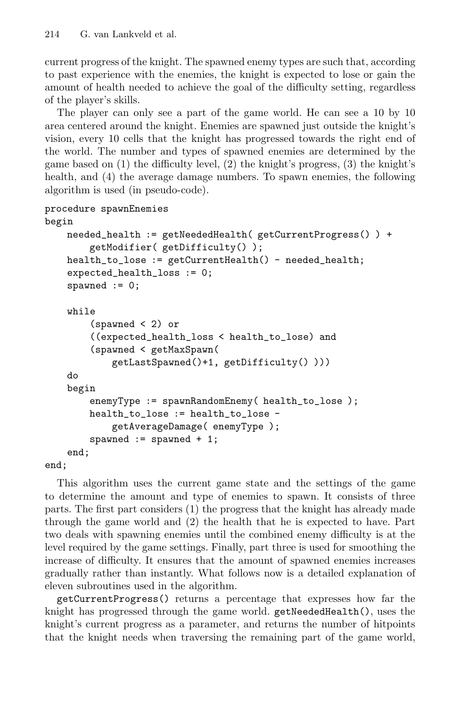current progress of the knight. The spawned enemy types are such that, according to past experience with the enemies, the knight is expected to lose or gain the amount of health needed to achieve the goal of the difficulty setting, regardless of the player's skills.

The player can only see a part of the game world. He can see a 10 by 10 area centered around the knight. Enemies are spawned just outside the knight's vision, every 10 cells that the knight has progressed towards the right end of the world. The number and types of spawned enemies are determined by the game based on (1) the difficulty level, (2) the knight's progress, (3) the knight's health, and (4) the average damage numbers. To spawn enemies, the following algorithm is used (in pseudo-code).

```
procedure spawnEnemies
begin
   needed_health := getNeededHealth( getCurrentProgress() ) +
        getModifier( getDifficulty() );
   health_to_lose := getCurrentHealth() - needed_health;
    expected_health_loss := 0;
    spawned := 0;while
        (spawned < 2) or
        ((expected_health_loss < health_to_lose) and
        (spawned < getMaxSpawn(
            getLastSpawned()+1, getDifficulty() )))
   do
   begin
        enemyType := spawnRandomEnemy( health_to_lose );
        health_to_lose := health_to_lose -
            getAverageDamage( enemyType );
        spawned := spawned +1;
   end;
end;
```
This algorithm uses the current game state and the settings of the game to determine the amount and type of enemies to spawn. It consists of three parts. The first part considers (1) the progress that the knight has already made through the game world and (2) the health that he is expected to have. Part two deals with spawning enemies until the combined enemy difficulty is at the level required by the game settings. Finally, part three is used for smoothing the increase of difficulty. It ensures that the amount of spawned enemies increases gradually rather than instantly. What follows now is a detailed explanation of eleven subroutines used in the algorithm.

getCurrentProgress() returns a percentage that expresses how far the knight has progressed through the game world. getNeededHealth(), uses the knight's current progress as a parameter, and returns the number of hitpoints that the knight needs when traversing the remaining part of the game world,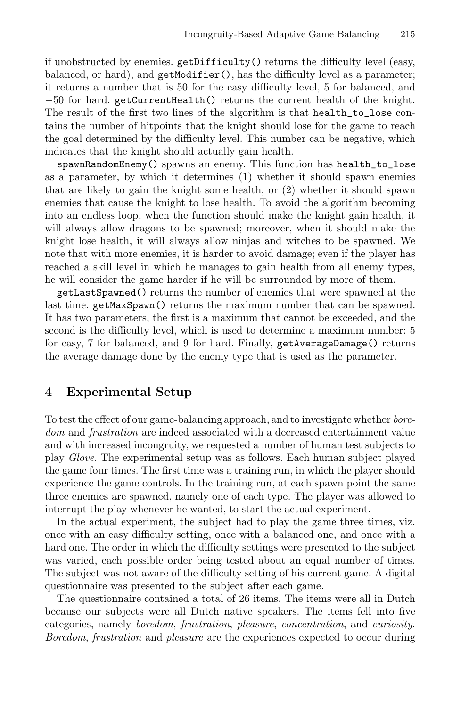if unobstructed by enemies. getDifficulty() returns the difficulty level (easy, balanced, or hard), and getModifier(), has the difficulty level as a parameter; it returns a number that is 50 for the easy difficulty level, 5 for balanced, and  $-50$  for hard. getCurrentHealth() returns the current health of the knight. The result of the first two lines of the algorithm is that health\_to\_lose contains the number of hitpoints that the knight should lose for the game to reach the goal determined by the difficulty level. This number can be negative, which indicates that the knight should actually gain health.

spawnRandomEnemy() spawns an enemy. This function has health\_to\_lose as a parameter, by which it determines (1) whether it should spawn enemies that are likely to gain the knight some health, or (2) whether it should spawn enemies that cause the knight to lose health. To avoid the algorithm becoming into an endless loop, when the function should make the knight gain health, it will always allow dragons to be spawned; moreover, when it should make the knight lose health, it will always allow ninjas and witches to be spawned. We note that with more enemies, it is harder to avoid damage; even if the player has reached a skill level in which he manages to gain health from all enemy types, he will consider the game harder if he will be surrounded by more of them.

getLastSpawned() returns the number of enemies that were spawned at the last time. getMaxSpawn() returns the maximum number that can be spawned. It has two parameters, the first is a maximum that cannot be exceeded, and the second is the difficulty level, which is used to determine a maximum number: 5 for easy, 7 for balanced, and 9 for hard. Finally, getAverageDamage() returns the average damage done by the enemy type that is used as the parameter.

## **4 Experimental Setup**

To test the effect of our game-balancing approach, and to investigate whether *boredom* and *frustration* are indeed associated with a decreased entertainment value and with increased incongruity, we requested a number of human test subjects to play *Glove*. The experimental setup was as follows. Each human subject played the game four times. The first time was a training run, in which the player should experience the game controls. In the training run, at each spawn point the same three enemies are spawned, namely one of each type. The player was allowed to interrupt the play whenever he wanted, to start the actual experiment.

In the actual experiment, the subject had to play the game three times, viz. once with an easy difficulty setting, once with a balanced one, and once with a hard one. The order in which the difficulty settings were presented to the subject was varied, each possible order being tested about an equal number of times. The subject was not aware of the difficulty setting of his current game. A digital questionnaire was presented to the subject after each game.

The questionnaire contained a total of 26 items. The items were all in Dutch because our subjects were all Dutch native speakers. The items fell into five categories, namely *boredom*, *frustration*, *pleasure*, *concentration*, and *curiosity*. *Boredom*, *frustration* and *pleasure* are the experiences expected to occur during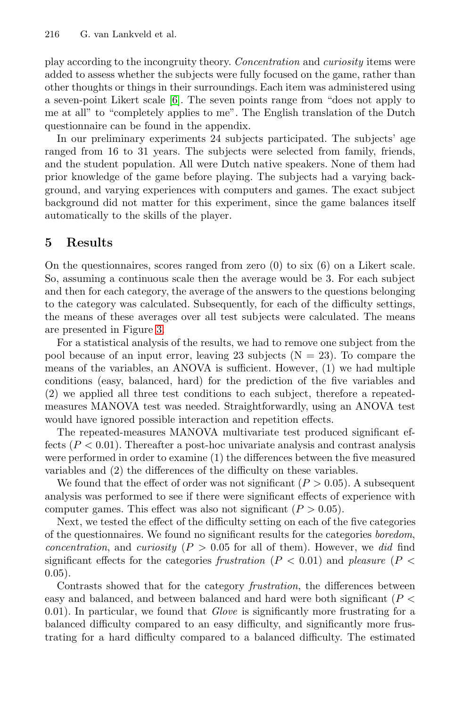#### 216 G. van Lankveld et al.

play according to the incongruity theory. *Concentration* and *curiosity* items were added to assess whether the subjects were fully focused on the game, rather than other thoughts or things in their surroundings. Each item was administered using a seven-point Likert scale [6]. The seven points range from "does not apply to me at all" to "completely applies to me". The English translation of the Dutch questionnaire can be found in the appendix.

<span id="page-8-0"></span>In our preliminary experiments 24 subjects participated. The subjects' age ranged from 16 to 31 years. The subjects were selected from family, friends, and the student population. All were Dutch native speakers. None of them had prior knowledge of the game before playing. The subjects had a varying background, and varying experiences with computers and games. The exact subject background did not matter for this experiment, since the game balances itself automatically to the skills of the player.

#### **5 Results**

On the questionnaires, scores ranged from zero (0) to six (6) on a Likert scale. So, assuming a continuous scale then the average would be 3. For each subject and then for each category, the average of the answers to the questions belonging to the category was calculated. Subsequently, for each of the difficulty settings, the means of these averages over all test subjects were calculated. The means are presented in Figure 3.

For a statistical analysis of the results, we had to remove one subject from the pool because of an input error, leaving 23 subjects  $(N = 23)$ . To compare the means of the variables, an ANOVA is sufficient. However, (1) we had multiple conditions (easy, balanced, hard) for the prediction of the five variables and (2) we applied all three test conditions to each subject, therefore a repeatedmeasures MANOVA test was needed. Straightforwardly, using an ANOVA test would have ignored possible interaction and repetition effects.

The repeated-measures MANOVA multivariate test produced significant effects  $(P < 0.01)$ . Thereafter a post-hoc univariate analysis and contrast analysis were performed in order to examine (1) the differences between the five measured variables and (2) the differences of the difficulty on these variables.

We found that the effect of order was not significant  $(P > 0.05)$ . A subsequent analysis was performed to see if there were significant effects of experience with computer games. This effect was also not significant  $(P > 0.05)$ .

Next, we tested the effect of the difficulty setting on each of the five categories of the questionnaires. We found no significant results for the categories *boredom*, *concentration*, and *curiosity* ( $P > 0.05$  for all of them). However, we *did* find significant effects for the categories *frustration* ( $P < 0.01$ ) and *pleasure* ( $P <$  $(0.05)$ .

Contrasts showed that for the category *frustration*, the differences between easy and balanced, and between balanced and hard were both significant (*P <* 0*.*01). In particular, we found that *Glove* is significantly more frustrating for a balanced difficulty compared to an easy difficulty, and significantly more frustrating for a hard difficulty compared to a balanced difficulty. The estimated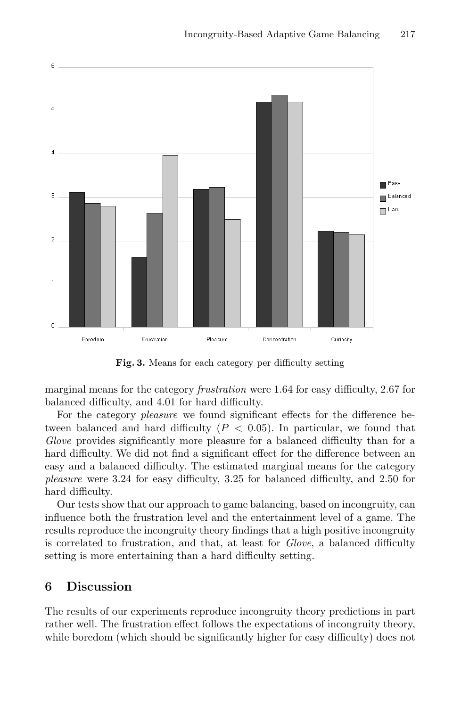

**Fig. 3.** Means for each category per difficulty setting

marginal means for the category *frustration* were 1.64 for easy difficulty, 2.67 for balanced difficulty, and 4.01 for hard difficulty.

For the category *pleasure* we found significant effects for the difference between balanced and hard difficulty  $(P < 0.05)$ . In particular, we found that *Glove* provides significantly more pleasure for a balanced difficulty than for a hard difficulty. We did not find a significant effect for the difference between an easy and a balanced difficulty. The estimated marginal means for the category *pleasure* were 3.24 for easy difficulty, 3.25 for balanced difficulty, and 2.50 for hard difficulty.

Our tests show that our approach to game balancing, based on incongruity, can influence both the frustration level and the entertainment level of a game. The results reproduce the incongruity theory findings that a high positive incongruity is correlated to frustration, and that, at least for *Glove*, a balanced difficulty setting is more entertaining than a hard difficulty setting.

## <span id="page-9-0"></span>**6 Discussion**

The results of our experiments reproduce incongruity theory predictions in part rather well. The frustration effect follows the expectations of incongruity theory, while boredom (which should be significantly higher for easy difficulty) does not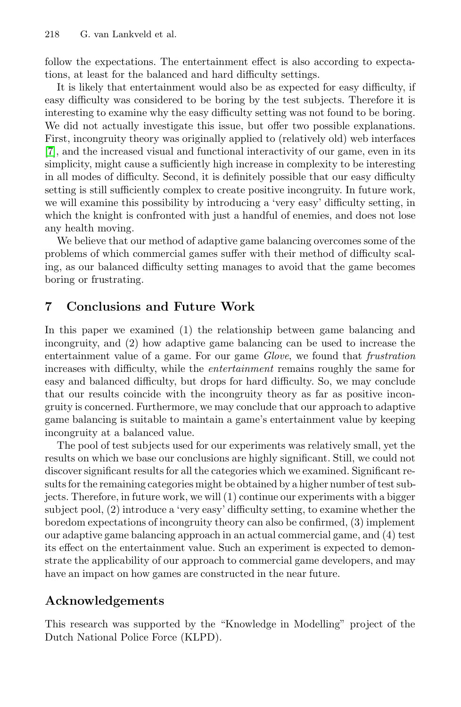218 G. van Lankveld et al.

follow the expectations. The entertainment effect is also according to expectations, at least for the balanced and hard difficulty settings.

It is likely that entertainment would also be as expected for easy difficulty, if easy difficulty was considered to be boring by the test subjects. Therefore it is interesting to examine why the easy difficulty setting was not found to be boring. We did not actually investigate this issue, but offer two possible explanations. First, incongruity theory was originally applied to (relatively old) web interfaces [7], and the increased visual and functional interactivity of our game, even in its simplicity, might cause a sufficiently high increase in complexity to be interesting in all modes of difficulty. Second, it is definitely possible that our easy difficulty setting is still sufficiently complex to create positive incongruity. In future work, we will examine this possibility by introducing a 'very easy' difficulty setting, in which the knight is confronted with just a handful of enemies, and does not lose any health moving.

<span id="page-10-0"></span>We believe that our method of adaptive game balancing overcomes some of the problems of which commercial games suffer with their method of difficulty scaling, as our balanced difficulty setting manages to avoid that the game becomes boring or frustrating.

### **7 Conclusions and Future Work**

In this paper we examined (1) the relationship between game balancing and incongruity, and (2) how adaptive game balancing can be used to increase the entertainment value of a game. For our game *Glove*, we found that *frustration* increases with difficulty, while the *entertainment* remains roughly the same for easy and balanced difficulty, but drops for hard difficulty. So, we may conclude that our results coincide with the incongruity theory as far as positive incongruity is concerned. Furthermore, we may conclude that our approach to adaptive game balancing is suitable to maintain a game's entertainment value by keeping incongruity at a balanced value.

The pool of test subjects used for our experiments was relatively small, yet the results on which we base our conclusions are highly significant. Still, we could not discover significant results for all the categories which we examined. Significant results for the remaining categories might be obtained by a higher number of test subjects. Therefore, in future work, we will  $(1)$  continue our experiments with a bigger subject pool, (2) introduce a 'very easy' difficulty setting, to examine whether the boredom expectations of incongruity theory can also be confirmed, (3) implement our adaptive game balancing approach in an actual commercial game, and (4) test its effect on the entertainment value. Such an experiment is expected to demonstrate the applicability of our approach to commercial game developers, and may have an impact on how games are constructed in the near future.

## **Acknowledgements**

This research was supported by the "Knowledge in Modelling" project of the Dutch National Police Force (KLPD).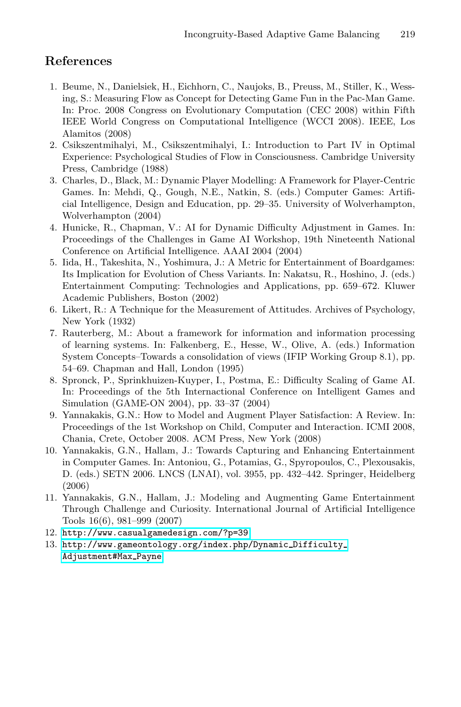## <span id="page-11-2"></span><span id="page-11-1"></span><span id="page-11-0"></span>**References**

- 1. Beume, N., Danielsiek, H., Eichhorn, C., Naujoks, B., Preuss, M., Stiller, K., Wessing, S.: Measuring Flow as Concept for Detecting Game Fun in the Pac-Man Game. In: Proc. 2008 Congress on Evolutionary Computation (CEC 2008) within Fifth IEEE World Congress on Computational Intelligence (WCCI 2008). IEEE, Los Alamitos (2008)
- <span id="page-11-5"></span>2. Csikszentmihalyi, M., Csikszentmihalyi, I.: Introduction to Part IV in Optimal Experience: Psychological Studies of Flow in Consciousness. Cambridge University Press, Cambridge (1988)
- 3. Charles, D., Black, M.: Dynamic Player Modelling: A Framework for Player-Centric Games. In: Mehdi, Q., Gough, N.E., Natkin, S. (eds.) Computer Games: Artificial Intelligence, Design and Education, pp. 29–35. University of Wolverhampton, Wolverhampton (2004)
- <span id="page-11-8"></span>4. Hunicke, R., Chapman, V.: AI for Dynamic Difficulty Adjustment in Games. In: Proceedings of the Challenges in Game AI Workshop, 19th Nineteenth National Conference on Artificial Intelligence. AAAI 2004 (2004)
- <span id="page-11-6"></span>5. Iida, H., Takeshita, N., Yoshimura, J.: A Metric for Entertainment of Boardgames: Its Implication for Evolution of Chess Variants. In: Nakatsu, R., Hoshino, J. (eds.) Entertainment Computing: Technologies and Applications, pp. 659–672. Kluwer Academic Publishers, Boston (2002)
- <span id="page-11-7"></span>6. Likert, R.: A Technique for the Measurement of Attitudes. Archives of Psychology, New York (1932)
- <span id="page-11-3"></span>7. Rauterberg, M.: About a framework for information and information processing of learning systems. In: Falkenberg, E., Hesse, W., Olive, A. (eds.) Information System Concepts–Towards a consolidation of views (IFIP Working Group 8.1), pp. 54–69. Chapman and Hall, London (1995)
- <span id="page-11-4"></span>8. Spronck, P., Sprinkhuizen-Kuyper, I., Postma, E.: Difficulty Scaling of Game AI. In: Proceedings of the 5th Internactional Conference on Intelligent Games and Simulation (GAME-ON 2004), pp. 33–37 (2004)
- 9. Yannakakis, G.N.: How to Model and Augment Player Satisfaction: A Review. In: Proceedings of the 1st Workshop on Child, Computer and Interaction. ICMI 2008, [Chania,](http://www.casualgamedesign.com/?p=39) [Crete,](http://www.casualgamedesign.com/?p=39) [October](http://www.casualgamedesign.com/?p=39) 2008. ACM Press, New York (2008)
- [10.](http://www.gameontology.org/index.php/Dynamic_Difficulty_Adjustment#Max_Payne) [Yannakakis,](http://www.gameontology.org/index.php/Dynamic_Difficulty_Adjustment#Max_Payne) [G.N.,](http://www.gameontology.org/index.php/Dynamic_Difficulty_Adjustment#Max_Payne) [Hallam,](http://www.gameontology.org/index.php/Dynamic_Difficulty_Adjustment#Max_Payne) [J.:](http://www.gameontology.org/index.php/Dynamic_Difficulty_Adjustment#Max_Payne) [Towards](http://www.gameontology.org/index.php/Dynamic_Difficulty_Adjustment#Max_Payne) [Captu](http://www.gameontology.org/index.php/Dynamic_Difficulty_Adjustment#Max_Payne)ring and Enhancing Entertainment [in](http://www.gameontology.org/index.php/Dynamic_Difficulty_Adjustment#Max_Payne) [C](http://www.gameontology.org/index.php/Dynamic_Difficulty_Adjustment#Max_Payne)omputer Games. In: Antoniou, G., Potamias, G., Spyropoulos, C., Plexousakis, D. (eds.) SETN 2006. LNCS (LNAI), vol. 3955, pp. 432–442. Springer, Heidelberg (2006)
- 11. Yannakakis, G.N., Hallam, J.: Modeling and Augmenting Game Entertainment Through Challenge and Curiosity. International Journal of Artificial Intelligence Tools 16(6), 981–999 (2007)
- 12. http://www.casualgamedesign.com/?p=39
- 13. http://www.gameontology.org/index.php/Dynamic Difficulty Adjustment#Max Payne